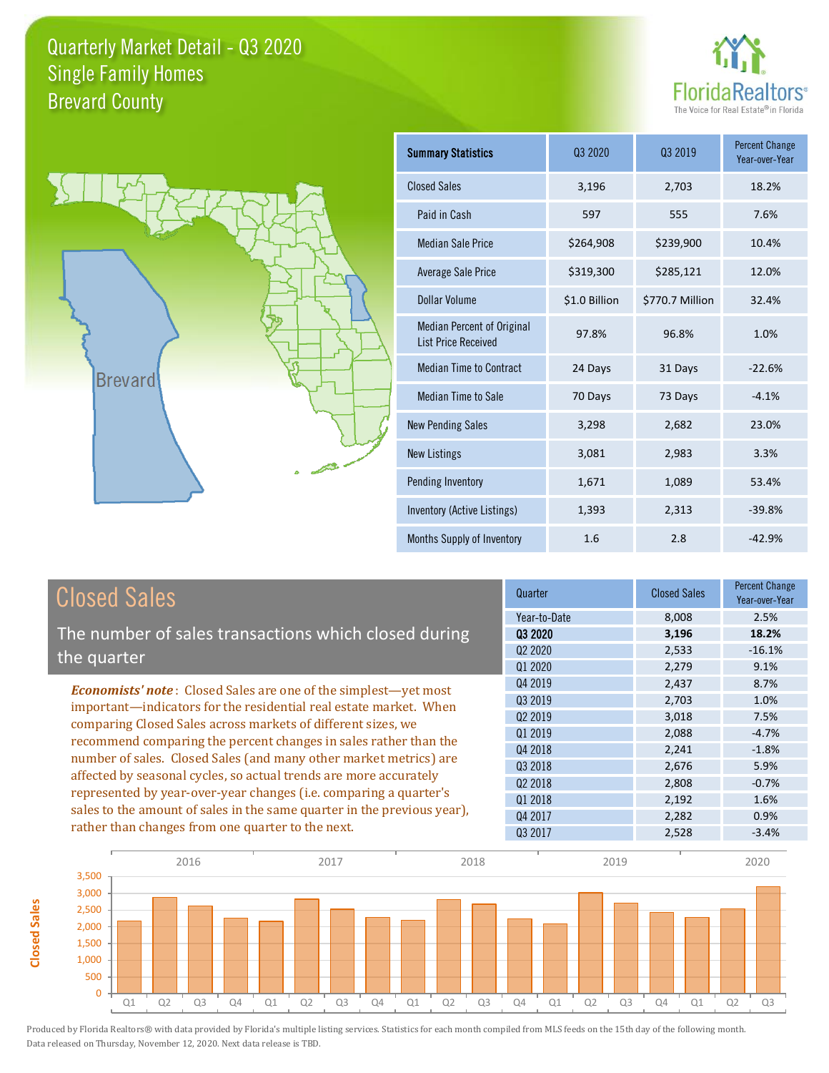



**Closed Sales**

**Closed Sales** 

| <b>Summary Statistics</b>                                       | 03 2020       | 03 2019         | <b>Percent Change</b><br>Year-over-Year |
|-----------------------------------------------------------------|---------------|-----------------|-----------------------------------------|
| <b>Closed Sales</b>                                             | 3,196         | 2,703           | 18.2%                                   |
| Paid in Cash                                                    | 597           | 555             | 7.6%                                    |
| <b>Median Sale Price</b>                                        | \$264,908     | \$239,900       | 10.4%                                   |
| <b>Average Sale Price</b>                                       | \$319,300     | \$285,121       | 12.0%                                   |
| Dollar Volume                                                   | \$1.0 Billion | \$770.7 Million | 32.4%                                   |
| <b>Median Percent of Original</b><br><b>List Price Received</b> | 97.8%         | 96.8%           | 1.0%                                    |
| <b>Median Time to Contract</b>                                  | 24 Days       | 31 Days         | $-22.6%$                                |
| <b>Median Time to Sale</b>                                      | 70 Days       | 73 Days         | $-4.1%$                                 |
| <b>New Pending Sales</b>                                        | 3,298         | 2,682           | 23.0%                                   |
| <b>New Listings</b>                                             | 3,081         | 2,983           | 3.3%                                    |
| Pending Inventory                                               | 1,671         | 1,089           | 53.4%                                   |
| Inventory (Active Listings)                                     | 1,393         | 2,313           | $-39.8%$                                |
| Months Supply of Inventory                                      | 1.6           | 2.8             | $-42.9%$                                |

| <b>Closed Sales</b>                                                                                                                                                                                         | Quarter                         | <b>Closed Sales</b> | <b>Percent Change</b><br>Year-over-Year |
|-------------------------------------------------------------------------------------------------------------------------------------------------------------------------------------------------------------|---------------------------------|---------------------|-----------------------------------------|
|                                                                                                                                                                                                             | Year-to-Date                    | 8,008               | 2.5%                                    |
| The number of sales transactions which closed during                                                                                                                                                        | 03 2020                         | 3,196               | 18.2%                                   |
| the quarter                                                                                                                                                                                                 | Q <sub>2</sub> 20 <sub>20</sub> | 2,533               | $-16.1%$                                |
|                                                                                                                                                                                                             | Q1 2020                         | 2,279               | 9.1%                                    |
| <b>Economists' note:</b> Closed Sales are one of the simplest—yet most                                                                                                                                      | Q4 2019                         | 2,437               | 8.7%                                    |
| important—indicators for the residential real estate market. When<br>comparing Closed Sales across markets of different sizes, we                                                                           | Q3 2019                         | 2.703               | 1.0%                                    |
|                                                                                                                                                                                                             | 02 2019                         | 3,018               | 7.5%                                    |
| recommend comparing the percent changes in sales rather than the                                                                                                                                            | 01 2019                         | 2,088               | $-4.7%$                                 |
|                                                                                                                                                                                                             | Q4 2018                         | 2,241               | $-1.8%$                                 |
| number of sales. Closed Sales (and many other market metrics) are<br>affected by seasonal cycles, so actual trends are more accurately<br>represented by year-over-year changes (i.e. comparing a quarter's | 03 2018                         | 2,676               | 5.9%                                    |
|                                                                                                                                                                                                             | Q <sub>2</sub> 2018             | 2,808               | $-0.7%$                                 |
|                                                                                                                                                                                                             | Q1 2018                         | 2,192               | 1.6%                                    |
| sales to the amount of sales in the same quarter in the previous year),                                                                                                                                     | Q4 2017                         | 2,282               | 0.9%                                    |
| rather than changes from one quarter to the next.                                                                                                                                                           | 03 2017                         | 2,528               | $-3.4%$                                 |

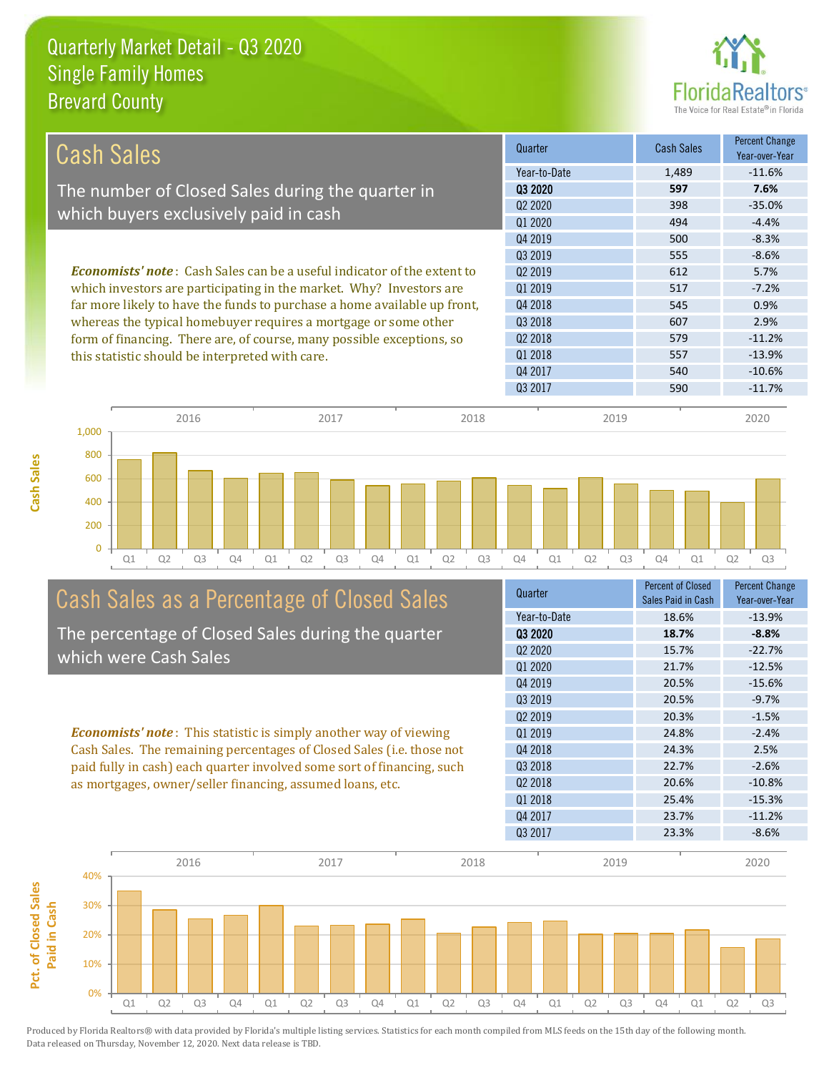

| <b>Cash Sales</b>                                                              | Quarter                         | <b>Cash Sales</b> | <b>Percent Change</b><br>Year-over-Year |
|--------------------------------------------------------------------------------|---------------------------------|-------------------|-----------------------------------------|
|                                                                                | Year-to-Date                    | 1,489             | $-11.6%$                                |
| The number of Closed Sales during the quarter in                               | 03 2020                         | 597               | 7.6%                                    |
|                                                                                | Q <sub>2</sub> 20 <sub>20</sub> | 398               | $-35.0%$                                |
| which buyers exclusively paid in cash                                          | Q1 2020                         | 494               | $-4.4%$                                 |
|                                                                                | Q4 2019                         | 500               | $-8.3%$                                 |
|                                                                                | 03 2019                         | 555               | $-8.6%$                                 |
| <b>Economists' note:</b> Cash Sales can be a useful indicator of the extent to | Q <sub>2</sub> 2019             | 612               | 5.7%                                    |
| which investors are participating in the market. Why? Investors are            | 01 2019                         | 517               | $-7.2%$                                 |
| far more likely to have the funds to purchase a home available up front,       | Q4 2018                         | 545               | 0.9%                                    |
| whereas the typical homebuyer requires a mortgage or some other                | Q3 2018                         | 607               | 2.9%                                    |
| form of financing. There are, of course, many possible exceptions, so          | 02 2018                         | 579               | $-11.2%$                                |
| this statistic should be interpreted with care.                                | 01 2018                         | 557               | $-13.9%$                                |
|                                                                                | Q4 2017                         | 540               | $-10.6%$                                |
|                                                                                | Q3 2017                         | 590               | $-11.7%$                                |
|                                                                                |                                 |                   |                                         |



#### Cash Sales as a Percentage of Closed Sales The percentage of Closed Sales during the quarter

which were Cash Sales

*Economists' note* : This statistic is simply another way of viewing Cash Sales. The remaining percentages of Closed Sales (i.e. those not paid fully in cash) each quarter involved some sort of financing, such as mortgages, owner/seller financing, assumed loans, etc.



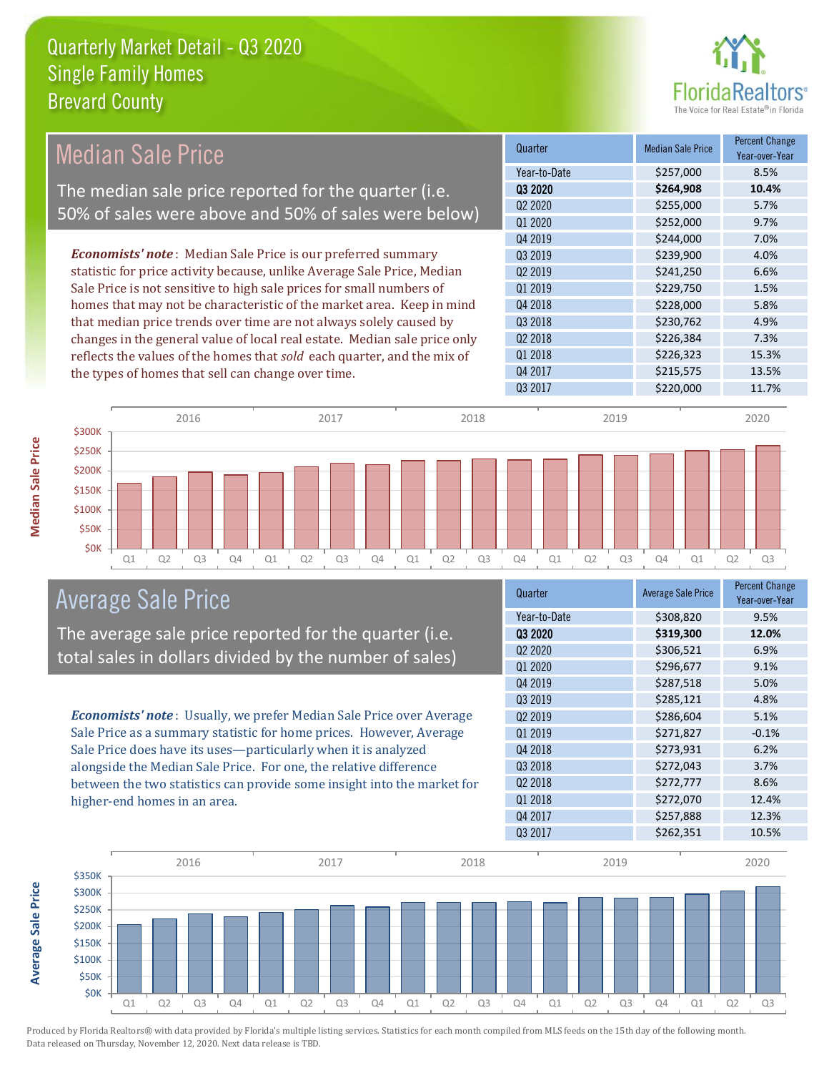

#### Quarter Median Sale Price Percent Change Year-over-Year Q3 2020 **\$264,908 10.4%** Year-to-Date \$257,000 8.5% Q4 2018 **\$228,000 5.8%** Q2 2020 **\$255,000 5.7%** Q1 2020 \$252,000 9.7% Q2 2019 \$241,250 6.6% Q1 2019 \$229,750 1.5% Q4 2019 **\$244,000** \$244,000 7.0% Q3 2019 **\$239,900** \$239,900 4.0% Q3 2018 **\$230,762** \$230,762 4.9% Q2 2018 \$226,384 7.3% Q1 2018 **\$226,323** 15.3% Q4 2017 \$215,575 13.5% Q3 2017 \$220,000 11.7% *Economists' note* : Median Sale Price is our preferred summary statistic for price activity because, unlike Average Sale Price, Median Sale Price is not sensitive to high sale prices for small numbers of homes that may not be characteristic of the market area. Keep in mind that median price trends over time are not always solely caused by changes in the general value of local real estate. Median sale price only reflects the values of the homes that *sold* each quarter, and the mix of the types of homes that sell can change over time. \$250K \$300K 2016 2017 2018 2019 2020 Median Sale Price The median sale price reported for the quarter (i.e. 50% of sales were above and 50% of sales were below)

#### Q1 Q2 Q3 Q4 Q1 Q2 Q3 Q4 Q1 Q2 Q3 Q4 Q1 Q2 Q3 Q4 Q1 Q2 Q3 **\$0K** \$50K \$100K \$150K Average Sale Price

The average sale price reported for the quarter (i.e. total sales in dollars divided by the number of sales)

*Economists' note* : Usually, we prefer Median Sale Price over Average Sale Price as a summary statistic for home prices. However, Average Sale Price does have its uses—particularly when it is analyzed alongside the Median Sale Price. For one, the relative difference between the two statistics can provide some insight into the market for higher-end homes in an area.

| Quarter             | <b>Average Sale Price</b> | <b>Percent Change</b><br>Year-over-Year |
|---------------------|---------------------------|-----------------------------------------|
| Year-to-Date        | \$308,820                 | 9.5%                                    |
| 03 2020             | \$319,300                 | 12.0%                                   |
| Q2 2020             | \$306,521                 | 6.9%                                    |
| Q1 2020             | \$296,677                 | 9.1%                                    |
| Q4 2019             | \$287,518                 | 5.0%                                    |
| Q3 2019             | \$285,121                 | 4.8%                                    |
| Q <sub>2</sub> 2019 | \$286,604                 | 5.1%                                    |
| Q1 2019             | \$271,827                 | $-0.1%$                                 |
| Q4 2018             | \$273,931                 | 6.2%                                    |
| Q3 2018             | \$272,043                 | 3.7%                                    |
| Q <sub>2</sub> 2018 | \$272,777                 | 8.6%                                    |
| Q1 2018             | \$272,070                 | 12.4%                                   |
| Q4 2017             | \$257,888                 | 12.3%                                   |
| Q3 2017             | \$262,351                 | 10.5%                                   |



**Average Sale Price**

Average Sale Price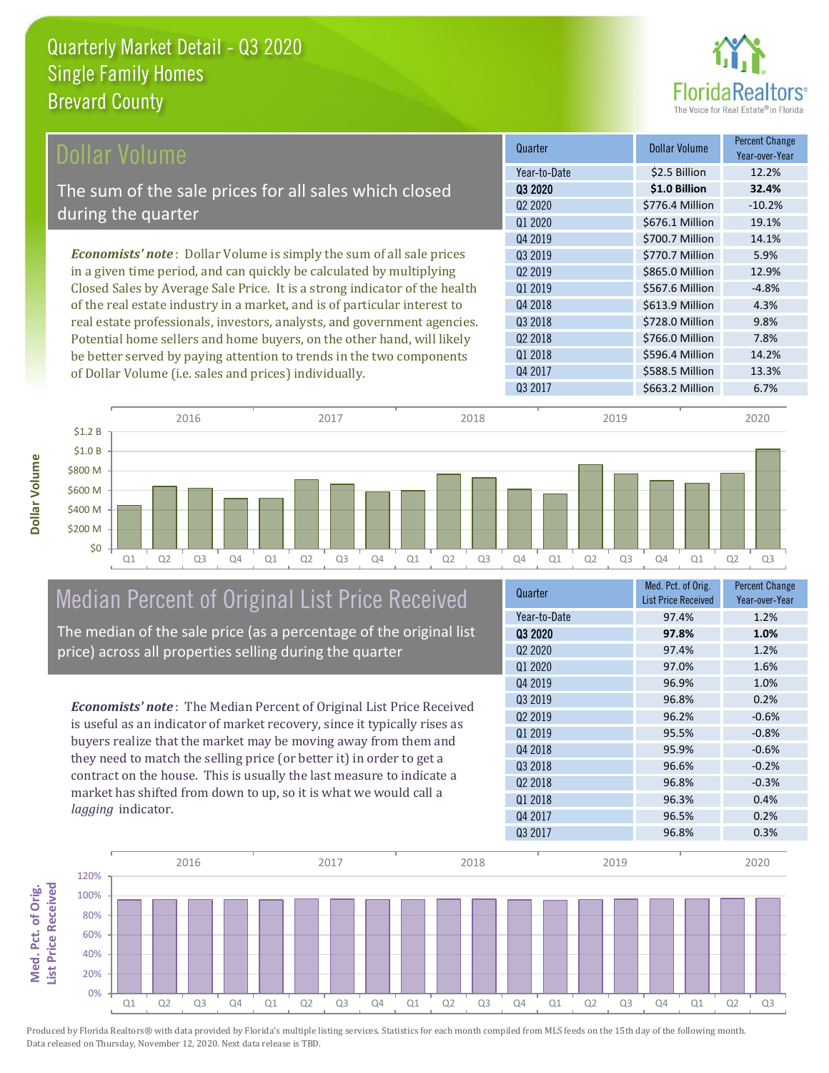

| Dollar Volume                                                               | Quarter             | <b>Dollar Volume</b> | <b>Percent Change</b><br>Year-over-Year |
|-----------------------------------------------------------------------------|---------------------|----------------------|-----------------------------------------|
|                                                                             | Year-to-Date        | \$2.5 Billion        | 12.2%                                   |
| The sum of the sale prices for all sales which closed                       | Q3 2020             | \$1.0 Billion        | 32.4%                                   |
| during the quarter                                                          | Q <sub>2</sub> 2020 | \$776.4 Million      | $-10.2%$                                |
|                                                                             | Q1 2020             | \$676.1 Million      | 19.1%                                   |
|                                                                             | Q4 2019             | \$700.7 Million      | 14.1%                                   |
| <b>Economists' note:</b> Dollar Volume is simply the sum of all sale prices | Q3 2019             | \$770.7 Million      | 5.9%                                    |
| in a given time period, and can quickly be calculated by multiplying        | Q <sub>2</sub> 2019 | \$865.0 Million      | 12.9%                                   |
| Closed Sales by Average Sale Price. It is a strong indicator of the health  | Q1 2019             | \$567.6 Million      | $-4.8%$                                 |
| of the real estate industry in a market, and is of particular interest to   | Q4 2018             | \$613.9 Million      | 4.3%                                    |
| real estate professionals, investors, analysts, and government agencies.    | Q3 2018             | \$728.0 Million      | 9.8%                                    |
| Potential home sellers and home buyers, on the other hand, will likely      | Q <sub>2</sub> 2018 | \$766.0 Million      | 7.8%                                    |
| be better served by paying attention to trends in the two components        | Q1 2018             | \$596.4 Million      | 14.2%                                   |
| of Dollar Volume (i.e. sales and prices) individually.                      | Q4 2017             | \$588.5 Million      | 13.3%                                   |



## Median Percent of Original List Price Received

The median of the sale price (as a percentage of the original list price) across all properties selling during the quarter

*Economists' note* : The Median Percent of Original List Price Received is useful as an indicator of market recovery, since it typically rises as buyers realize that the market may be moving away from them and they need to match the selling price (or better it) in order to get a contract on the house. This is usually the last measure to indicate a market has shifted from down to up, so it is what we would call a *lagging* indicator.

| Med. Pct. of Orig.<br><b>List Price Received</b> | <b>Percent Change</b><br>Year-over-Year |
|--------------------------------------------------|-----------------------------------------|
| 97.4%                                            | 1.2%                                    |
| 97.8%                                            | 1.0%                                    |
| 97.4%                                            | 1.2%                                    |
| 97.0%                                            | 1.6%                                    |
| 96.9%                                            | 1.0%                                    |
| 96.8%                                            | 0.2%                                    |
| 96.2%                                            | $-0.6%$                                 |
| 95.5%                                            | $-0.8%$                                 |
| 95.9%                                            | $-0.6%$                                 |
| 96.6%                                            | $-0.2%$                                 |
| 96.8%                                            | $-0.3%$                                 |
| 96.3%                                            | 0.4%                                    |
| 96.5%                                            | 0.2%                                    |
| 96.8%                                            | 0.3%                                    |
|                                                  |                                         |

Q3 2017 \$663.2 Million 6.7%

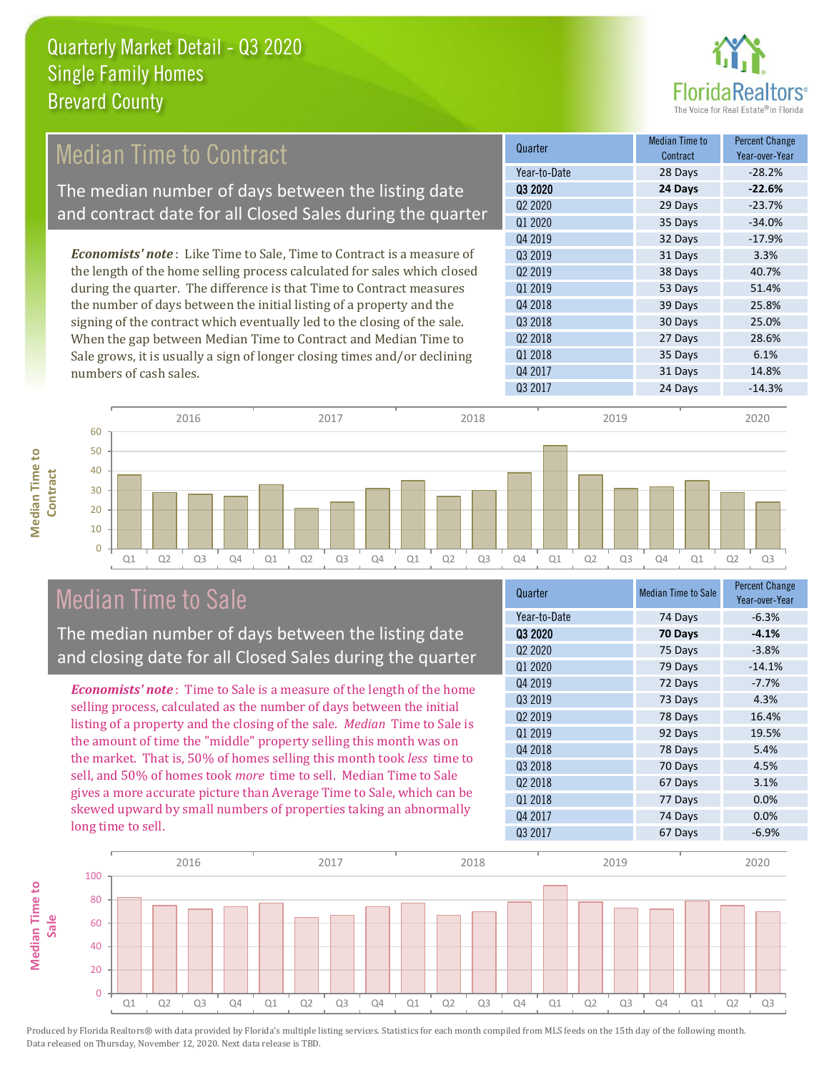

### Median Time to Contract

The median number of days between the listing date and contract date for all Closed Sales during the quarter

*Economists' note* : Like Time to Sale, Time to Contract is a measure of the length of the home selling process calculated for sales which closed during the quarter. The difference is that Time to Contract measures the number of days between the initial listing of a property and the signing of the contract which eventually led to the closing of the sale. When the gap between Median Time to Contract and Median Time to Sale grows, it is usually a sign of longer closing times and/or declining numbers of cash sales.



**Median Time to Median Time to Contract**



#### Median Time to Sale

The median number of days between the listing date and closing date for all Closed Sales during the quarter

*Economists' note* : Time to Sale is a measure of the length of the home selling process, calculated as the number of days between the initial listing of a property and the closing of the sale. *Median* Time to Sale is the amount of time the "middle" property selling this month was on the market. That is, 50% of homes selling this month took *less* time to sell, and 50% of homes took *more* time to sell. Median Time to Sale gives a more accurate picture than Average Time to Sale, which can be skewed upward by small numbers of properties taking an abnormally long time to sell.

| $-6.3%$<br>Year-to-Date<br>74 Days<br>03 2020<br>70 Days<br>$-4.1%$ |
|---------------------------------------------------------------------|
|                                                                     |
|                                                                     |
| Q <sub>2</sub> 20 <sub>20</sub><br>$-3.8%$<br>75 Days               |
| Q1 2020<br>$-14.1%$<br>79 Days                                      |
| Q4 2019<br>72 Days<br>$-7.7%$                                       |
| Q3 2019<br>4.3%<br>73 Days                                          |
| Q <sub>2</sub> 2019<br>16.4%<br>78 Days                             |
| Q1 2019<br>92 Days<br>19.5%                                         |
| Q4 2018<br>78 Days<br>5.4%                                          |
| Q3 2018<br>70 Days<br>4.5%                                          |
| Q2 2018<br>3.1%<br>67 Days                                          |
| Q1 2018<br>0.0%<br>77 Days                                          |
| Q4 2017<br>74 Days<br>0.0%                                          |
| Q3 2017<br>$-6.9%$<br>67 Days                                       |

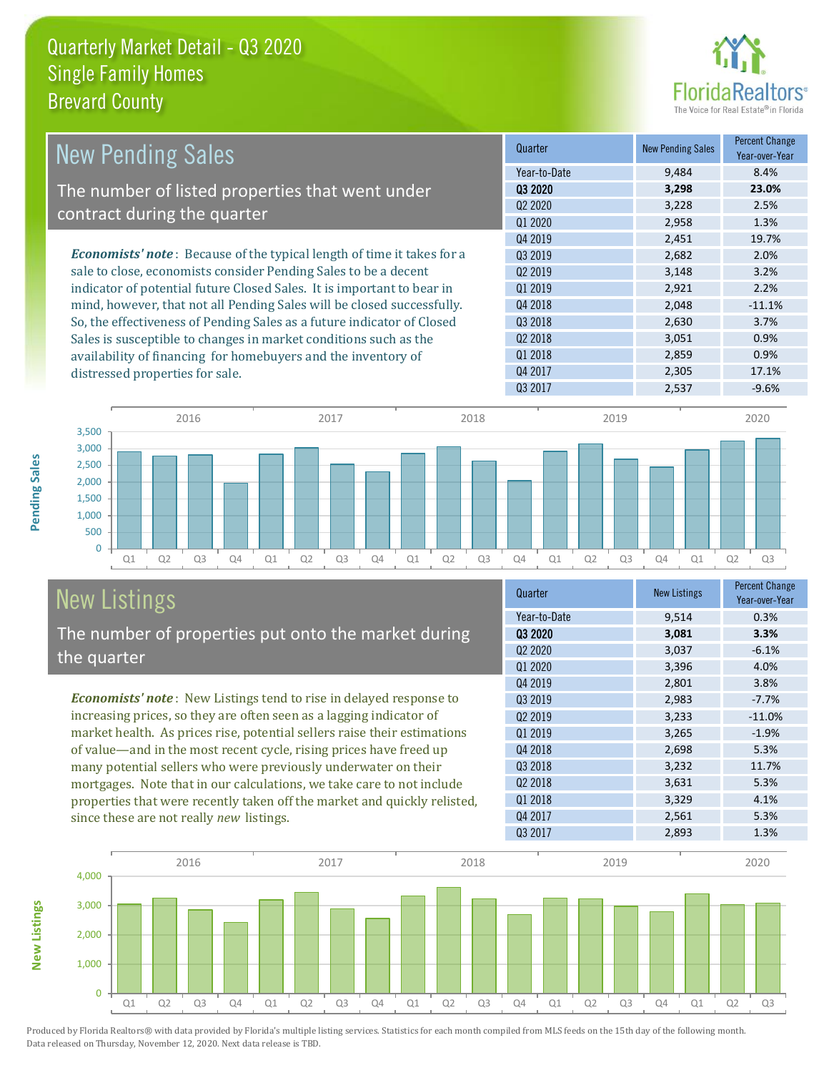

| <b>New Pending Sales</b>                                                       | Quarter             | <b>New Pending Sales</b> | <b>Percent Change</b><br>Year-over-Year |
|--------------------------------------------------------------------------------|---------------------|--------------------------|-----------------------------------------|
|                                                                                | Year-to-Date        | 9,484                    | 8.4%                                    |
| The number of listed properties that went under                                | 03 2020             | 3,298                    | 23.0%                                   |
|                                                                                | Q <sub>2</sub> 2020 | 3,228                    | 2.5%                                    |
| contract during the quarter                                                    | Q1 2020             | 2,958                    | 1.3%                                    |
|                                                                                | 04 2019             | 2.451                    | 19.7%                                   |
| <b>Economists' note</b> : Because of the typical length of time it takes for a | 03 2019             | 2,682                    | 2.0%                                    |
| sale to close, economists consider Pending Sales to be a decent                | Q <sub>2</sub> 2019 | 3,148                    | 3.2%                                    |
| indicator of potential future Closed Sales. It is important to bear in         | Q1 2019             | 2,921                    | 2.2%                                    |
| mind, however, that not all Pending Sales will be closed successfully.         | Q4 2018             | 2,048                    | $-11.1%$                                |
| So, the effectiveness of Pending Sales as a future indicator of Closed         | Q3 2018             | 2,630                    | 3.7%                                    |
| Sales is susceptible to changes in market conditions such as the               | Q <sub>2</sub> 2018 | 3,051                    | 0.9%                                    |
| availability of financing for homebuyers and the inventory of                  | Q1 2018             | 2,859                    | 0.9%                                    |
| distressed properties for sale                                                 | Q4 2017             | 2,305                    | 17.1%                                   |



# New Listings

distressed properties for sale.

The number of properties put onto the market during the quarter

*Economists' note* : New Listings tend to rise in delayed response to increasing prices, so they are often seen as a lagging indicator of market health. As prices rise, potential sellers raise their estimations of value—and in the most recent cycle, rising prices have freed up many potential sellers who were previously underwater on their mortgages. Note that in our calculations, we take care to not include properties that were recently taken off the market and quickly relisted, since these are not really *new* listings.

| Quarter             | <b>New Listings</b> | <b>Percent Change</b><br>Year-over-Year |
|---------------------|---------------------|-----------------------------------------|
| Year-to-Date        | 9,514               | 0.3%                                    |
| 03 2020             | 3,081               | 3.3%                                    |
| Q2 2020             | 3,037               | $-6.1%$                                 |
| Q1 2020             | 3,396               | 4.0%                                    |
| Q4 2019             | 2,801               | 3.8%                                    |
| 03 2019             | 2,983               | $-7.7%$                                 |
| Q <sub>2</sub> 2019 | 3,233               | $-11.0%$                                |
| Q1 2019             | 3,265               | $-1.9%$                                 |
| Q4 2018             | 2,698               | 5.3%                                    |
| Q3 2018             | 3,232               | 11.7%                                   |
| Q <sub>2</sub> 2018 | 3,631               | 5.3%                                    |
| Q1 2018             | 3,329               | 4.1%                                    |
| Q4 2017             | 2,561               | 5.3%                                    |
| 03 2017             | 2,893               | 1.3%                                    |



Produced by Florida Realtors® with data provided by Florida's multiple listing services. Statistics for each month compiled from MLS feeds on the 15th day of the following month. Data released on Thursday, November 12, 2020. Next data release is TBD.

**New Listings**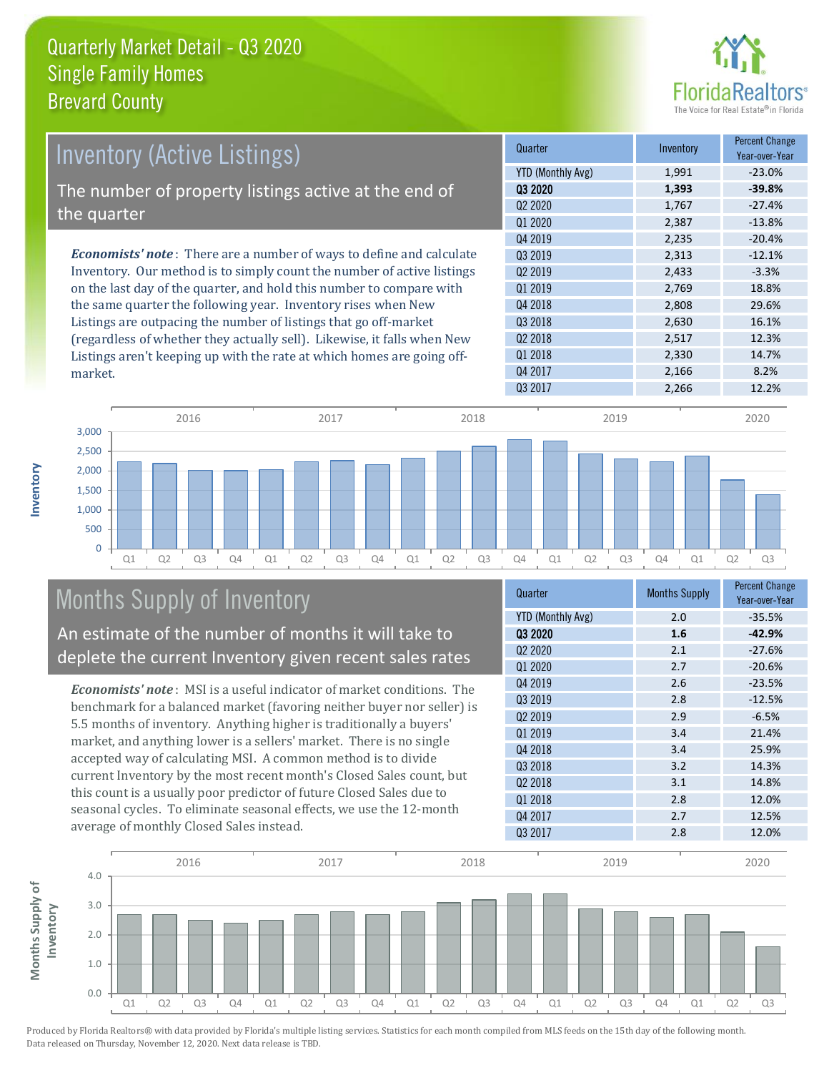

| <b>Inventory (Active Listings)</b>                                           | Quarter             | Inventory | <b>Percent Change</b><br>Year-over-Year |
|------------------------------------------------------------------------------|---------------------|-----------|-----------------------------------------|
|                                                                              | YTD (Monthly Avg)   | 1,991     | $-23.0\%$                               |
| The number of property listings active at the end of                         | 03 2020             | 1,393     | $-39.8%$                                |
|                                                                              | Q <sub>2</sub> 2020 | 1,767     | $-27.4%$                                |
| the quarter                                                                  | 01 2020             | 2,387     | $-13.8%$                                |
|                                                                              | 04 2019             | 2,235     | $-20.4%$                                |
| <b>Economists' note</b> : There are a number of ways to define and calculate | 03 2019             | 2,313     | $-12.1%$                                |
| Inventory. Our method is to simply count the number of active listings       | Q <sub>2</sub> 2019 | 2,433     | $-3.3%$                                 |
| on the last day of the quarter, and hold this number to compare with         | 01 2019             | 2.769     | 18.8%                                   |
| the same quarter the following year. Inventory rises when New                | Q4 2018             | 2,808     | 29.6%                                   |
| Listings are outpacing the number of listings that go off-market             | Q3 2018             | 2,630     | 16.1%                                   |
| (regardless of whether they actually sell). Likewise, it falls when New      | 02 2018             | 2.517     | 12.3%                                   |
| Listings aren't keening un with the rate at which homes are going off-       | 01 2018             | 2,330     | 14.7%                                   |

Q3 2017 2,266 12.2% Q1 Q2 Q3 Q4 Q1 Q2 Q3 Q4 Q1 Q2 Q3 Q4 Q1 Q2 Q3 Q4 Q1 Q2 Q3  $\overline{0}$ 500 1,000 1,500 2,000 2,500 3,000 2016 2017 2018 2019 2020

## Months Supply of Inventory

market.

**Inventory**

An estimate of the number of months it will take to deplete the current Inventory given recent sales rates

Listings aren't keeping up with the rate at which homes are going off-

*Economists' note* : MSI is a useful indicator of market conditions. The benchmark for a balanced market (favoring neither buyer nor seller) is 5.5 months of inventory. Anything higher is traditionally a buyers' market, and anything lower is a sellers' market. There is no single accepted way of calculating MSI. A common method is to divide current Inventory by the most recent month's Closed Sales count, but this count is a usually poor predictor of future Closed Sales due to seasonal cycles. To eliminate seasonal effects, we use the 12-month average of monthly Closed Sales instead.

| Quarter                         | <b>Months Supply</b> | <b>Percent Change</b><br>Year-over-Year |
|---------------------------------|----------------------|-----------------------------------------|
| <b>YTD (Monthly Avg)</b>        | 2.0                  | $-35.5%$                                |
| 03 2020                         | 1.6                  | $-42.9%$                                |
| Q <sub>2</sub> 20 <sub>20</sub> | 2.1                  | $-27.6%$                                |
| Q1 2020                         | 2.7                  | $-20.6%$                                |
| Q4 2019                         | 2.6                  | $-23.5%$                                |
| 03 2019                         | 2.8                  | $-12.5%$                                |
| Q <sub>2</sub> 2019             | 2.9                  | $-6.5%$                                 |
| 01 2019                         | 3.4                  | 21.4%                                   |
| Q4 2018                         | 3.4                  | 25.9%                                   |
| Q3 2018                         | 3.2                  | 14.3%                                   |
| Q <sub>2</sub> 2018             | 3.1                  | 14.8%                                   |
| Q1 2018                         | 2.8                  | 12.0%                                   |
| Q4 2017                         | 2.7                  | 12.5%                                   |
| Q3 2017                         | 2.8                  | 12.0%                                   |

Q4 2017 2,166 8.2%

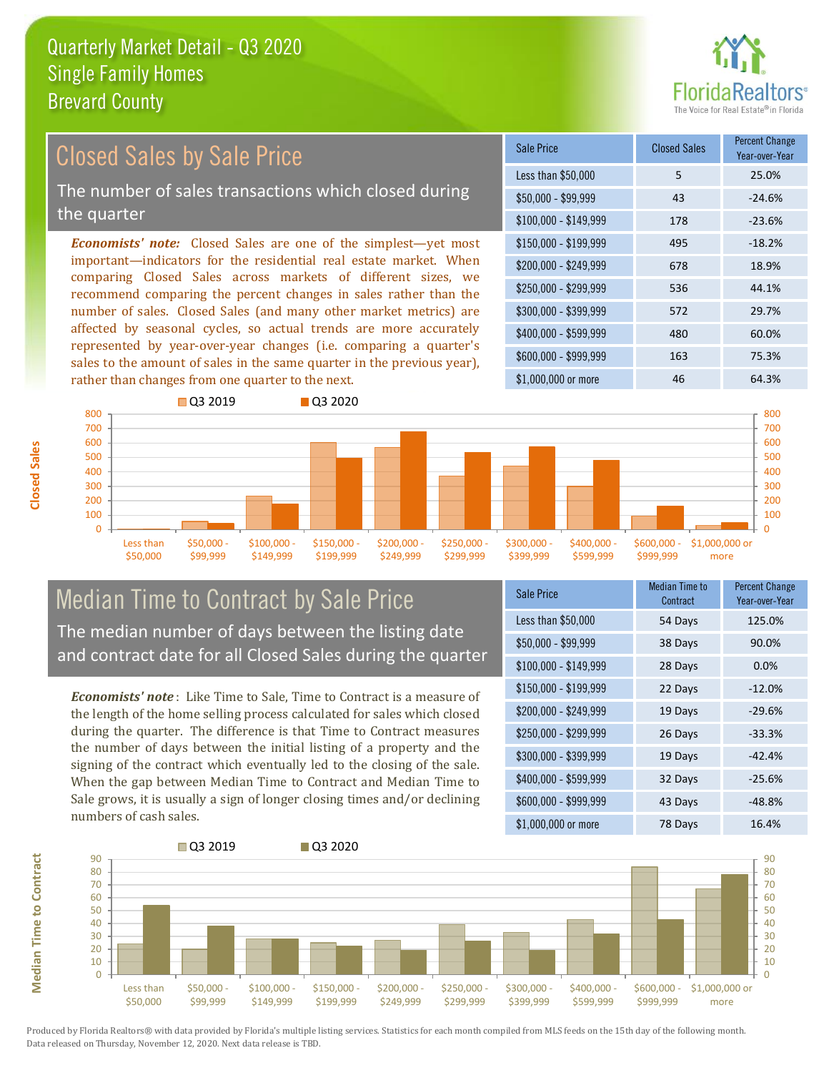

#### *Economists' note:* Closed Sales are one of the simplest—yet most important—indicators for the residential real estate market. When comparing Closed Sales across markets of different sizes, we recommend comparing the percent changes in sales rather than the number of sales. Closed Sales (and many other market metrics) are affected by seasonal cycles, so actual trends are more accurately represented by year-over-year changes (i.e. comparing a quarter's sales to the amount of sales in the same quarter in the previous year), rather than changes from one quarter to the next. \$1,000,000 or more 46 46 64.3% \$250,000 - \$299,999 536 44.1% \$300,000 - \$399,999 572 29.7% \$400,000 - \$599,999 480 60.0% \$600,000 - \$999,999 163 75.3% \$150,000 - \$199,999 495 -18.2% \$200,000 - \$249,999 678 18.9% \$100,000 - \$149,999 178 -23.6% Sale Price Closed Sales Percent Change Year-over-Year Less than \$50,000 5 25.0%  $$50,000 - $99,999$  43 -24.6% Closed Sales by Sale Price The number of sales transactions which closed during the quarter



#### Median Time to Contract by Sale Price The median number of days between the listing date and contract date for all Closed Sales during the quarter

*Economists' note* : Like Time to Sale, Time to Contract is a measure of the length of the home selling process calculated for sales which closed during the quarter. The difference is that Time to Contract measures the number of days between the initial listing of a property and the signing of the contract which eventually led to the closing of the sale. When the gap between Median Time to Contract and Median Time to Sale grows, it is usually a sign of longer closing times and/or declining numbers of cash sales.

| <b>Sale Price</b>     | <b>Median Time to</b><br>Contract | <b>Percent Change</b><br>Year-over-Year |
|-----------------------|-----------------------------------|-----------------------------------------|
| Less than \$50,000    | 54 Days                           | 125.0%                                  |
| \$50,000 - \$99,999   | 38 Days                           | 90.0%                                   |
| $$100,000 - $149,999$ | 28 Days                           | 0.0%                                    |
| $$150,000 - $199,999$ | 22 Days                           | $-12.0%$                                |
| \$200,000 - \$249,999 | 19 Days                           | $-29.6%$                                |
| \$250,000 - \$299,999 | 26 Days                           | $-33.3%$                                |
| \$300,000 - \$399,999 | 19 Days                           | $-42.4%$                                |
| \$400,000 - \$599,999 | 32 Days                           | $-25.6%$                                |
| \$600,000 - \$999,999 | 43 Days                           | $-48.8%$                                |
| \$1,000,000 or more   | 78 Days                           | 16.4%                                   |

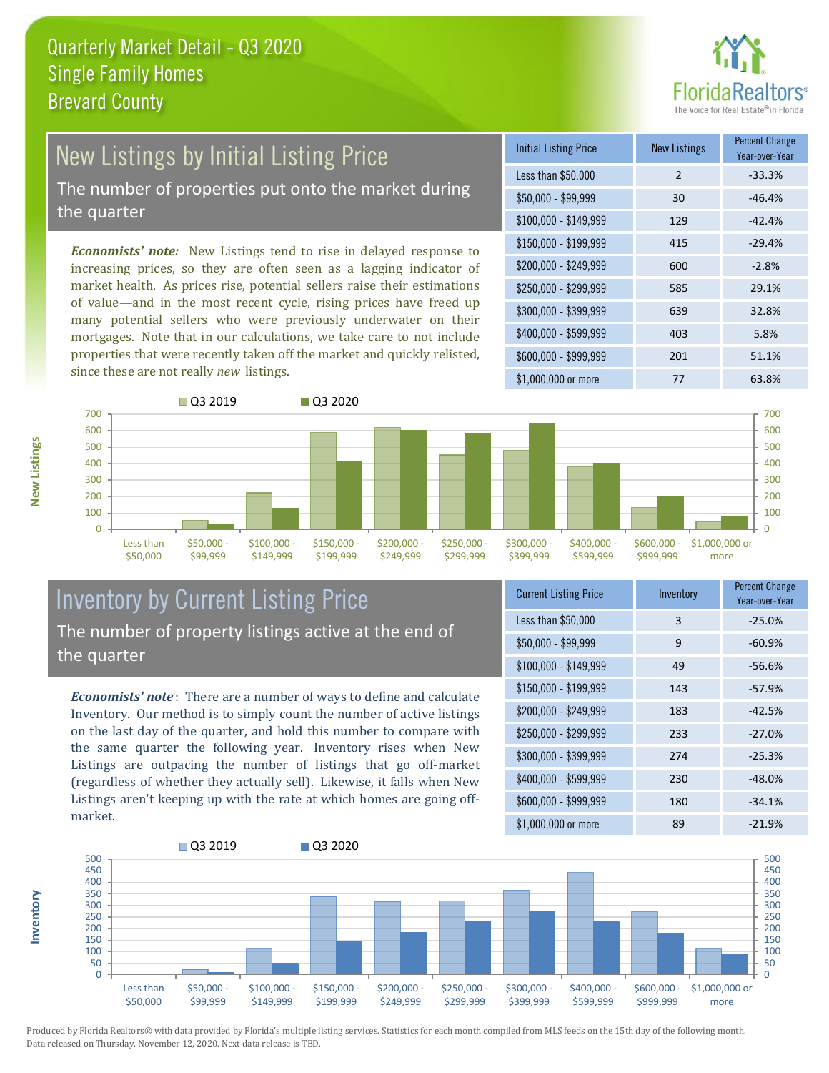

# New Listings by Initial Listing Price

The number of properties put onto the market during the quarter

*Economists' note:* New Listings tend to rise in delayed response to increasing prices, so they are often seen as a lagging indicator of market health. As prices rise, potential sellers raise their estimations of value—and in the most recent cycle, rising prices have freed up many potential sellers who were previously underwater on their mortgages. Note that in our calculations, we take care to not include properties that were recently taken off the market and quickly relisted, since these are not really *new* listings.





#### Inventory by Current Listing Price The number of property listings active at the end of the quarter

*Economists' note* : There are a number of ways to define and calculate Inventory. Our method is to simply count the number of active listings on the last day of the quarter, and hold this number to compare with the same quarter the following year. Inventory rises when New Listings are outpacing the number of listings that go off-market (regardless of whether they actually sell). Likewise, it falls when New Listings aren't keeping up with the rate at which homes are going offmarket.

| <b>Current Listing Price</b> | Inventory | <b>Percent Change</b><br>Year-over-Year |
|------------------------------|-----------|-----------------------------------------|
| Less than \$50,000           | 3         | $-25.0%$                                |
| $$50,000 - $99,999$          | 9         | $-60.9%$                                |
| $$100,000 - $149,999$        | 49        | $-56.6%$                                |
| $$150,000 - $199,999$        | 143       | $-57.9%$                                |
| \$200,000 - \$249,999        | 183       | $-42.5%$                                |
| \$250,000 - \$299,999        | 233       | $-27.0%$                                |
| \$300,000 - \$399,999        | 274       | $-25.3%$                                |
| \$400,000 - \$599,999        | 230       | $-48.0%$                                |
| \$600,000 - \$999,999        | 180       | $-34.1%$                                |
| \$1,000,000 or more          | 89        | $-21.9%$                                |



Produced by Florida Realtors® with data provided by Florida's multiple listing services. Statistics for each month compiled from MLS feeds on the 15th day of the following month. Data released on Thursday, November 12, 2020. Next data release is TBD.

**Inventory**